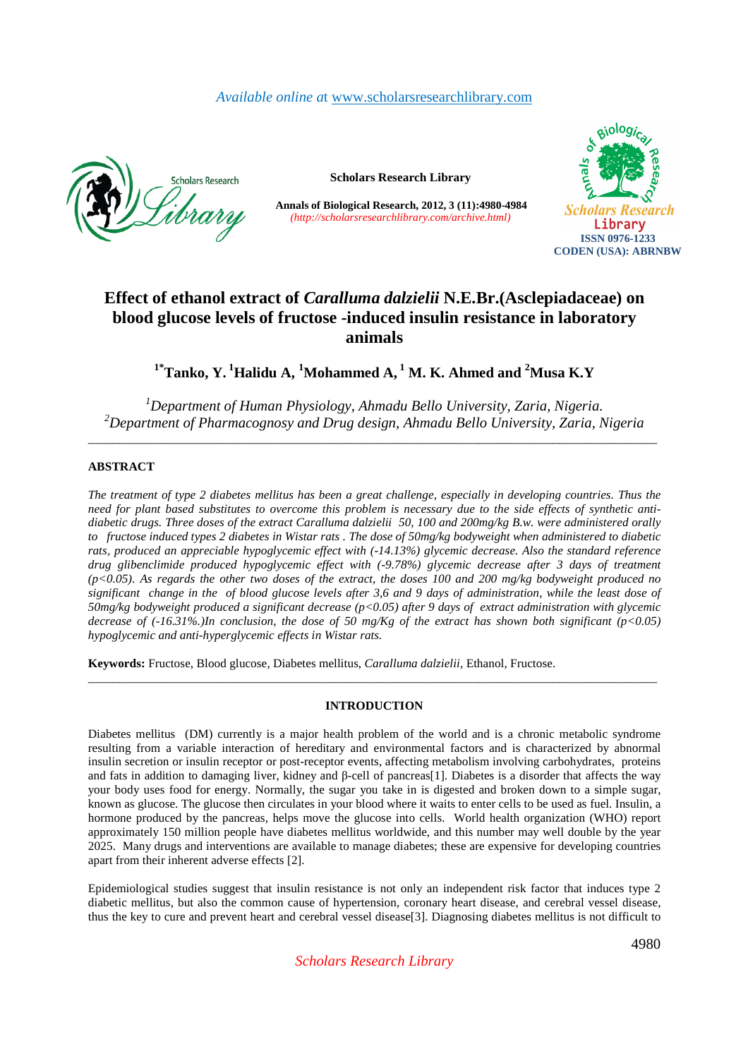# *Available online a*t www.scholarsresearchlibrary.com



**Scholars Research Library** 

**Annals of Biological Research, 2012, 3 (11):4980-4984** *(http://scholarsresearchlibrary.com/archive.html)*



# **Effect of ethanol extract of** *Caralluma dalzielii* **N.E.Br.(Asclepiadaceae) on blood glucose levels of fructose -induced insulin resistance in laboratory animals**

**1\*Tanko, Y.<sup>1</sup>Halidu A, <sup>1</sup>Mohammed A,<sup>1</sup> M. K. Ahmed and <sup>2</sup>Musa K.Y** 

*<sup>1</sup>Department of Human Physiology, Ahmadu Bello University, Zaria, Nigeria. <sup>2</sup>Department of Pharmacognosy and Drug design, Ahmadu Bello University, Zaria, Nigeria*  \_\_\_\_\_\_\_\_\_\_\_\_\_\_\_\_\_\_\_\_\_\_\_\_\_\_\_\_\_\_\_\_\_\_\_\_\_\_\_\_\_\_\_\_\_\_\_\_\_\_\_\_\_\_\_\_\_\_\_\_\_\_\_\_\_\_\_\_\_\_\_\_\_\_\_\_\_\_\_\_\_\_\_\_\_\_\_\_\_\_\_\_\_

# **ABSTRACT**

*The treatment of type 2 diabetes mellitus has been a great challenge, especially in developing countries. Thus the need for plant based substitutes to overcome this problem is necessary due to the side effects of synthetic antidiabetic drugs. Three doses of the extract Caralluma dalzielii 50, 100 and 200mg/kg B.w. were administered orally to fructose induced types 2 diabetes in Wistar rats . The dose of 50mg/kg bodyweight when administered to diabetic rats, produced an appreciable hypoglycemic effect with (-14.13%) glycemic decrease. Also the standard reference drug glibenclimide produced hypoglycemic effect with (-9.78%) glycemic decrease after 3 days of treatment (p<0.05). As regards the other two doses of the extract, the doses 100 and 200 mg/kg bodyweight produced no significant change in the of blood glucose levels after 3,6 and 9 days of administration, while the least dose of 50mg/kg bodyweight produced a significant decrease (p<0.05) after 9 days of extract administration with glycemic decrease of (-16.31%.)In conclusion, the dose of 50 mg/Kg of the extract has shown both significant (p<0.05) hypoglycemic and anti-hyperglycemic effects in Wistar rats.* 

**Keywords:** Fructose, Blood glucose, Diabetes mellitus, *Caralluma dalzielii,* Ethanol, Fructose.

# **INTRODUCTION**

\_\_\_\_\_\_\_\_\_\_\_\_\_\_\_\_\_\_\_\_\_\_\_\_\_\_\_\_\_\_\_\_\_\_\_\_\_\_\_\_\_\_\_\_\_\_\_\_\_\_\_\_\_\_\_\_\_\_\_\_\_\_\_\_\_\_\_\_\_\_\_\_\_\_\_\_\_\_\_\_\_\_\_\_\_\_\_\_\_\_\_\_\_

Diabetes mellitus (DM) currently is a major health problem of the world and is a chronic metabolic syndrome resulting from a variable interaction of hereditary and environmental factors and is characterized by abnormal insulin secretion or insulin receptor or post-receptor events, affecting metabolism involving carbohydrates, proteins and fats in addition to damaging liver, kidney and β-cell of pancreas[1]. Diabetes is a disorder that affects the way your body uses food for energy. Normally, the sugar you take in is digested and broken down to a simple sugar, known as glucose. The glucose then circulates in your blood where it waits to enter cells to be used as fuel. Insulin, a hormone produced by the pancreas, helps move the glucose into cells. World health organization (WHO) report approximately 150 million people have diabetes mellitus worldwide, and this number may well double by the year 2025. Many drugs and interventions are available to manage diabetes; these are expensive for developing countries apart from their inherent adverse effects [2].

Epidemiological studies suggest that insulin resistance is not only an independent risk factor that induces type 2 diabetic mellitus, but also the common cause of hypertension, coronary heart disease, and cerebral vessel disease, thus the key to cure and prevent heart and cerebral vessel disease[3]. Diagnosing diabetes mellitus is not difficult to

*Scholars Research Library*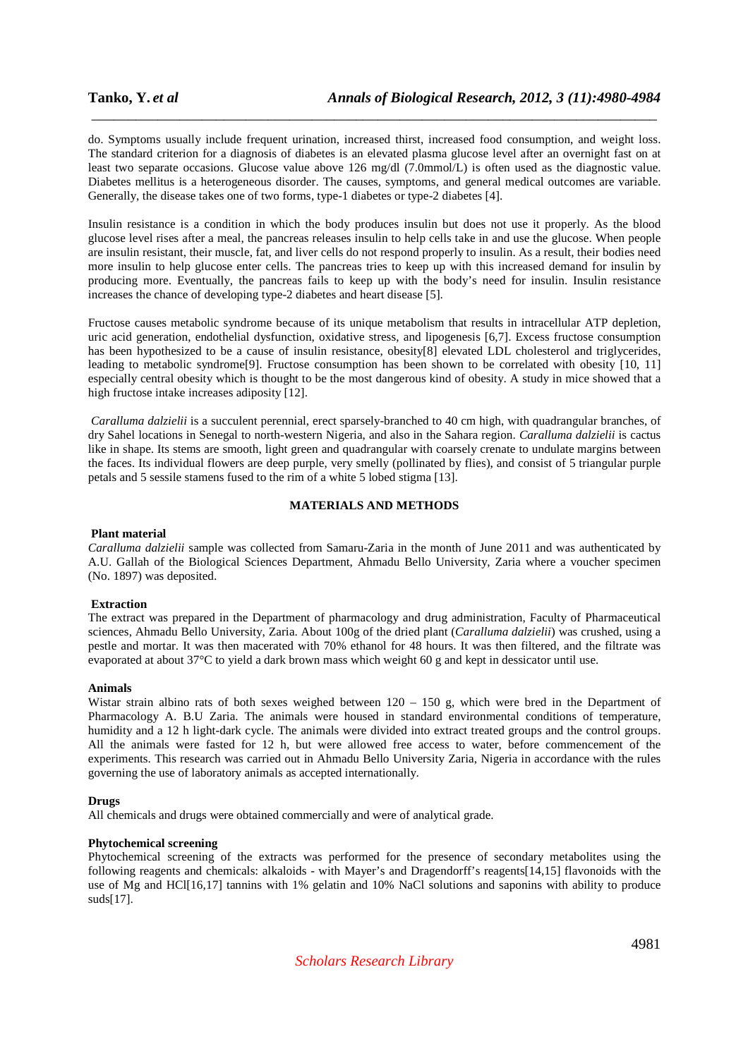do. Symptoms usually include frequent urination, increased thirst, increased food consumption, and weight loss. The standard criterion for a diagnosis of diabetes is an elevated plasma glucose level after an overnight fast on at least two separate occasions. Glucose value above 126 mg/dl (7.0mmol/L) is often used as the diagnostic value. Diabetes mellitus is a heterogeneous disorder. The causes, symptoms, and general medical outcomes are variable. Generally, the disease takes one of two forms, type-1 diabetes or type-2 diabetes [4].

\_\_\_\_\_\_\_\_\_\_\_\_\_\_\_\_\_\_\_\_\_\_\_\_\_\_\_\_\_\_\_\_\_\_\_\_\_\_\_\_\_\_\_\_\_\_\_\_\_\_\_\_\_\_\_\_\_\_\_\_\_\_\_\_\_\_\_\_\_\_\_\_\_\_\_\_\_

Insulin resistance is a condition in which the body produces insulin but does not use it properly. As the blood glucose level rises after a meal, the pancreas releases insulin to help cells take in and use the glucose. When people are insulin resistant, their muscle, fat, and liver cells do not respond properly to insulin. As a result, their bodies need more insulin to help glucose enter cells. The pancreas tries to keep up with this increased demand for insulin by producing more. Eventually, the pancreas fails to keep up with the body's need for insulin. Insulin resistance increases the chance of developing type-2 diabetes and heart disease [5].

Fructose causes metabolic syndrome because of its unique metabolism that results in intracellular ATP depletion, uric acid generation, endothelial dysfunction, oxidative stress, and lipogenesis [6,7]. Excess fructose consumption has been hypothesized to be a cause of insulin resistance, obesity[8] elevated LDL cholesterol and triglycerides, leading to metabolic syndrome[9]. Fructose consumption has been shown to be correlated with obesity [10, 11] especially central obesity which is thought to be the most dangerous kind of obesity. A study in mice showed that a high fructose intake increases adiposity [12].

 *Caralluma dalzielii* is a succulent perennial, erect sparsely-branched to 40 cm high, with quadrangular branches, of dry Sahel locations in Senegal to north-western Nigeria, and also in the Sahara region. *Caralluma dalzielii* is cactus like in shape. Its stems are smooth, light green and quadrangular with coarsely crenate to undulate margins between the faces. Its individual flowers are deep purple, very smelly (pollinated by flies), and consist of 5 triangular purple petals and 5 sessile stamens fused to the rim of a white 5 lobed stigma [13].

# **MATERIALS AND METHODS**

#### **Plant material**

*Caralluma dalzielii* sample was collected from Samaru-Zaria in the month of June 2011 and was authenticated by A.U. Gallah of the Biological Sciences Department, Ahmadu Bello University, Zaria where a voucher specimen (No. 1897) was deposited.

# **Extraction**

The extract was prepared in the Department of pharmacology and drug administration, Faculty of Pharmaceutical sciences, Ahmadu Bello University, Zaria. About 100g of the dried plant (*Caralluma dalzielii*) was crushed, using a pestle and mortar. It was then macerated with 70% ethanol for 48 hours. It was then filtered, and the filtrate was evaporated at about 37°C to yield a dark brown mass which weight 60 g and kept in dessicator until use.

### **Animals**

Wistar strain albino rats of both sexes weighed between  $120 - 150$  g, which were bred in the Department of Pharmacology A. B.U Zaria. The animals were housed in standard environmental conditions of temperature, humidity and a 12 h light-dark cycle. The animals were divided into extract treated groups and the control groups. All the animals were fasted for 12 h, but were allowed free access to water, before commencement of the experiments. This research was carried out in Ahmadu Bello University Zaria, Nigeria in accordance with the rules governing the use of laboratory animals as accepted internationally.

# **Drugs**

All chemicals and drugs were obtained commercially and were of analytical grade.

#### **Phytochemical screening**

Phytochemical screening of the extracts was performed for the presence of secondary metabolites using the following reagents and chemicals: alkaloids - with Mayer's and Dragendorff's reagents[14,15] flavonoids with the use of Mg and HCl[16,17] tannins with 1% gelatin and 10% NaCl solutions and saponins with ability to produce suds[17].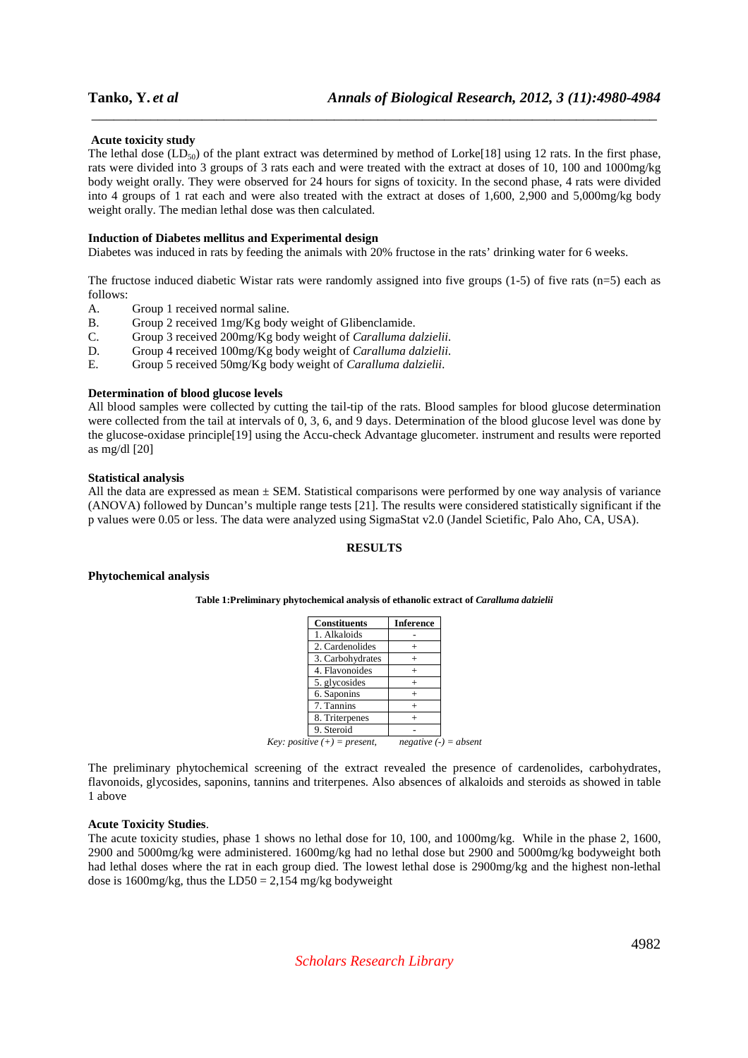# **Acute toxicity study**

The lethal dose  $(LD_{50})$  of the plant extract was determined by method of Lorke[18] using 12 rats. In the first phase, rats were divided into 3 groups of 3 rats each and were treated with the extract at doses of 10, 100 and 1000mg/kg body weight orally. They were observed for 24 hours for signs of toxicity. In the second phase, 4 rats were divided into 4 groups of 1 rat each and were also treated with the extract at doses of 1,600, 2,900 and 5,000mg/kg body weight orally. The median lethal dose was then calculated.

\_\_\_\_\_\_\_\_\_\_\_\_\_\_\_\_\_\_\_\_\_\_\_\_\_\_\_\_\_\_\_\_\_\_\_\_\_\_\_\_\_\_\_\_\_\_\_\_\_\_\_\_\_\_\_\_\_\_\_\_\_\_\_\_\_\_\_\_\_\_\_\_\_\_\_\_\_

#### **Induction of Diabetes mellitus and Experimental design**

Diabetes was induced in rats by feeding the animals with 20% fructose in the rats' drinking water for 6 weeks.

The fructose induced diabetic Wistar rats were randomly assigned into five groups  $(1-5)$  of five rats  $(n=5)$  each as follows:

- A. Group 1 received normal saline.
- B. Group 2 received 1mg/Kg body weight of Glibenclamide.<br>C. Group 3 received 200mg/Kg body weight of *Caralluma dd*
- C. Group 3 received 200mg/Kg body weight of *Caralluma dalzielii.*
- D. Group 4 received 100mg/Kg body weight of *Caralluma dalzielii.*
- E. Group 5 received 50mg/Kg body weight of *Caralluma dalzielii.*

#### **Determination of blood glucose levels**

All blood samples were collected by cutting the tail-tip of the rats. Blood samples for blood glucose determination were collected from the tail at intervals of 0, 3, 6, and 9 days. Determination of the blood glucose level was done by the glucose-oxidase principle[19] using the Accu-check Advantage glucometer. instrument and results were reported as mg/dl [20]

#### **Statistical analysis**

All the data are expressed as mean  $\pm$  SEM. Statistical comparisons were performed by one way analysis of variance (ANOVA) followed by Duncan's multiple range tests [21]. The results were considered statistically significant if the p values were 0.05 or less. The data were analyzed using SigmaStat v2.0 (Jandel Scietific, Palo Aho, CA, USA).

# **RESULTS**

#### **Phytochemical analysis**

#### **Table 1:Preliminary phytochemical analysis of ethanolic extract of** *Caralluma dalzielii*

| <b>Constituents</b>                           | <b>Inference</b>        |
|-----------------------------------------------|-------------------------|
| 1. Alkaloids                                  |                         |
| 2. Cardenolides                               |                         |
| 3. Carbohydrates                              |                         |
| 4. Flavonoides                                |                         |
| 5. glycosides                                 |                         |
| 6. Saponins                                   |                         |
| 7. Tannins                                    |                         |
| 8. Triterpenes                                |                         |
| 9. Steroid                                    |                         |
| <i>Key: positive</i> $(+)$ = <i>present</i> , | $negative (-) = absent$ |

The preliminary phytochemical screening of the extract revealed the presence of cardenolides, carbohydrates, flavonoids, glycosides, saponins, tannins and triterpenes. Also absences of alkaloids and steroids as showed in table 1 above

#### **Acute Toxicity Studies**.

The acute toxicity studies, phase 1 shows no lethal dose for 10, 100, and 1000mg/kg. While in the phase 2, 1600, 2900 and 5000mg/kg were administered. 1600mg/kg had no lethal dose but 2900 and 5000mg/kg bodyweight both had lethal doses where the rat in each group died. The lowest lethal dose is 2900mg/kg and the highest non-lethal dose is  $1600$ mg/kg, thus the LD50 = 2,154 mg/kg bodyweight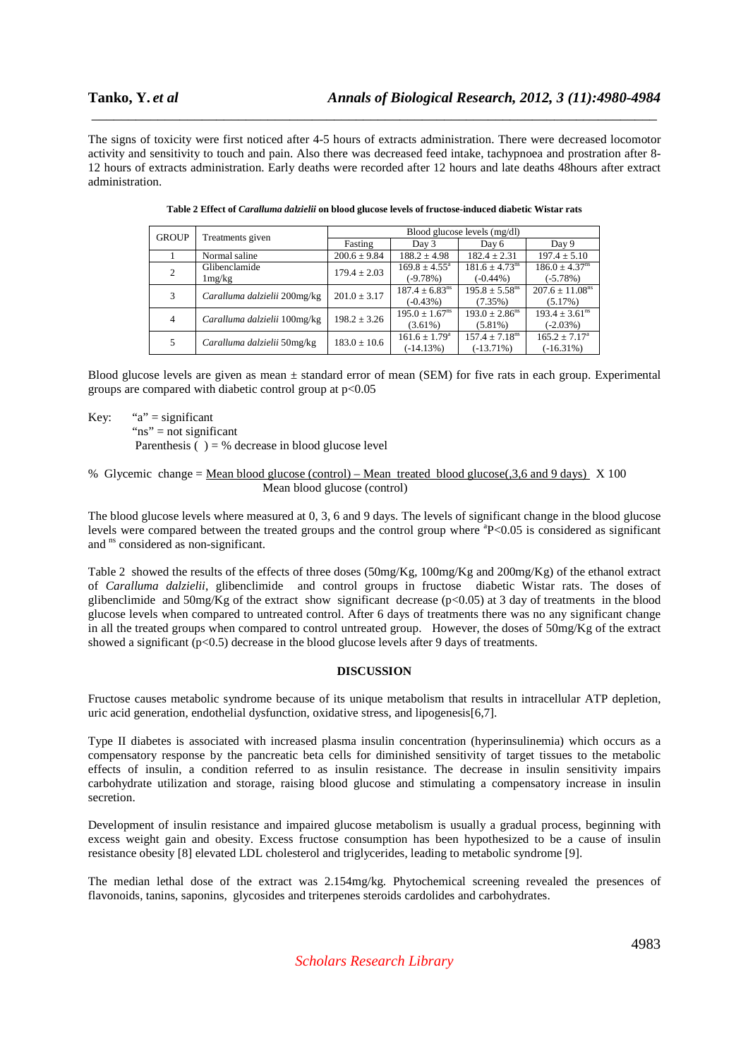The signs of toxicity were first noticed after 4-5 hours of extracts administration. There were decreased locomotor activity and sensitivity to touch and pain. Also there was decreased feed intake, tachypnoea and prostration after 8- 12 hours of extracts administration. Early deaths were recorded after 12 hours and late deaths 48hours after extract administration.

\_\_\_\_\_\_\_\_\_\_\_\_\_\_\_\_\_\_\_\_\_\_\_\_\_\_\_\_\_\_\_\_\_\_\_\_\_\_\_\_\_\_\_\_\_\_\_\_\_\_\_\_\_\_\_\_\_\_\_\_\_\_\_\_\_\_\_\_\_\_\_\_\_\_\_\_\_

|              | Treatments given             | Blood glucose levels (mg/dl) |                                |                                |                                 |
|--------------|------------------------------|------------------------------|--------------------------------|--------------------------------|---------------------------------|
| <b>GROUP</b> |                              | Fasting                      | Day 3                          | Day 6                          | Day 9                           |
|              | Normal saline                | $200.6 \pm 9.84$             | $188.2 \pm 4.98$               | $182.4 \pm 2.31$               | $197.4 \pm 5.10$                |
| 2            | Glibenclamide                | $179.4 \pm 2.03$             | $169.8 \pm 4.55^{\circ}$       | $181.6 \pm 4.73$ <sup>ns</sup> | $186.0 \pm 4.37$ <sup>ns</sup>  |
|              | 1mg/kg                       |                              | $(-9.78%)$                     | $(-0.44\%)$                    | $(-5.78%)$                      |
| 3            | Caralluma dalzielii 200mg/kg | $201.0 \pm 3.17$             | $187.4 \pm 6.83$ <sup>ns</sup> | $195.8 \pm 5.58^{\text{ns}}$   | $207.6 \pm 11.08$ <sup>ns</sup> |
|              |                              |                              | $(-0.43%)$                     | (7.35%)                        | (5.17%)                         |
| 4            | Caralluma dalzielii 100mg/kg | $198.2 \pm 3.26$             | $195.0 \pm 1.67$ <sup>ns</sup> | $193.0 \pm 2.86^{\text{ns}}$   | $193.4 \pm 3.61^{\text{ns}}$    |
|              |                              |                              | $(3.61\%)$                     | $(5.81\%)$                     | $(-2.03%)$                      |
| 5            | Caralluma dalzielii 50mg/kg  | $183.0 \pm 10.6$             | $161.6 \pm 1.79^{\circ}$       | $157.4 + 7.18$ <sup>ns</sup>   | $165.2 \pm 7.17^{\circ}$        |
|              |                              |                              | $(-14.13%)$                    | $(-13.71\%)$                   | $(-16.31\%)$                    |

| Table 2 Effect of <i>Caralluma dalzielii</i> on blood glucose levels of fructose-induced diabetic Wistar rats |  |  |
|---------------------------------------------------------------------------------------------------------------|--|--|
|                                                                                                               |  |  |

Blood glucose levels are given as mean ± standard error of mean (SEM) for five rats in each group. Experimental groups are compared with diabetic control group at p<0.05

Key: " $a$ " = significant " $ns$ " = not significant

Parenthesis  $() = \%$  decrease in blood glucose level

#### % Glycemic change = Mean blood glucose (control) – Mean treated blood glucose(,3,6 and 9 days) X 100 Mean blood glucose (control)

The blood glucose levels where measured at 0, 3, 6 and 9 days. The levels of significant change in the blood glucose levels were compared between the treated groups and the control group where <sup>a</sup>P<0.05 is considered as significant and <sup>ns</sup> considered as non-significant.

Table 2 showed the results of the effects of three doses (50mg/Kg, 100mg/Kg and 200mg/Kg) of the ethanol extract of *Caralluma dalzielii*, glibenclimide and control groups in fructose diabetic Wistar rats. The doses of glibenclimide and  $50 \text{mg/Kg}$  of the extract show significant decrease (p<0.05) at 3 day of treatments in the blood glucose levels when compared to untreated control. After 6 days of treatments there was no any significant change in all the treated groups when compared to control untreated group. However, the doses of 50mg/Kg of the extract showed a significant  $(p<0.5)$  decrease in the blood glucose levels after 9 days of treatments.

# **DISCUSSION**

Fructose causes metabolic syndrome because of its unique metabolism that results in intracellular ATP depletion, uric acid generation, endothelial dysfunction, oxidative stress, and lipogenesis[6,7].

Type II diabetes is associated with increased plasma insulin concentration (hyperinsulinemia) which occurs as a compensatory response by the pancreatic beta cells for diminished sensitivity of target tissues to the metabolic effects of insulin, a condition referred to as insulin resistance. The decrease in insulin sensitivity impairs carbohydrate utilization and storage, raising blood glucose and stimulating a compensatory increase in insulin secretion.

Development of insulin resistance and impaired glucose metabolism is usually a gradual process, beginning with excess weight gain and obesity. Excess fructose consumption has been hypothesized to be a cause of insulin resistance obesity [8] elevated LDL cholesterol and triglycerides, leading to metabolic syndrome [9].

The median lethal dose of the extract was 2.154mg/kg. Phytochemical screening revealed the presences of flavonoids, tanins, saponins, glycosides and triterpenes steroids cardolides and carbohydrates.

*Scholars Research Library*